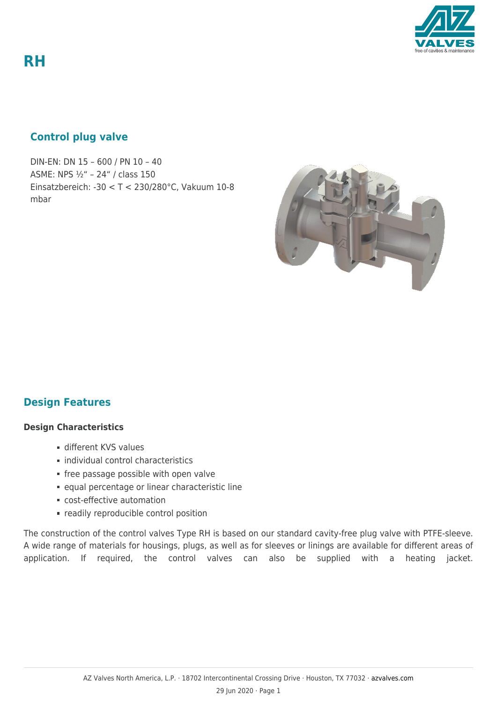**RH**

## **Control plug valve**

DIN-EN: DN 15 – 600 / PN 10 – 40 ASME: NPS ½" – 24" / class 150 Einsatzbereich: -30 < T < 230/280°C, Vakuum 10-8 mbar



## **Design Features**

#### **Design Characteristics**

- different KVS values
- $\blacksquare$  individual control characteristics
- **free passage possible with open valve**
- equal percentage or linear characteristic line
- cost-effective automation
- **Fig. 2** readily reproducible control position

The construction of the control valves Type RH is based on our standard cavity-free plug valve with PTFE-sleeve. A wide range of materials for housings, plugs, as well as for sleeves or linings are available for different areas of application. If required, the control valves can also be supplied with a heating jacket.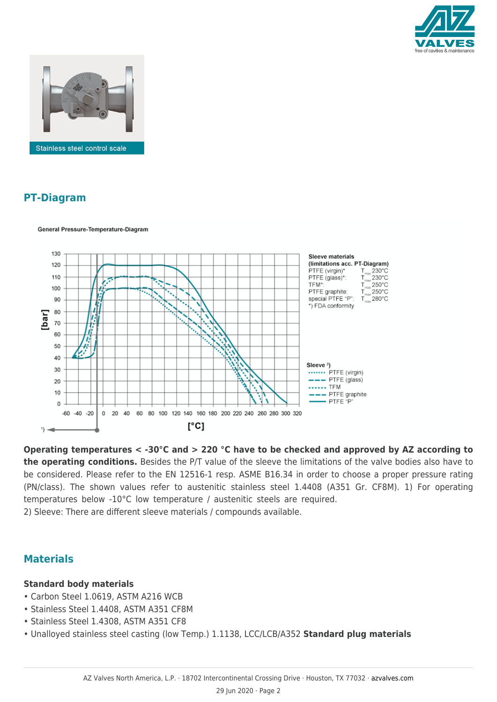



General Pressure-Temperature-Diagram

# **PT-Diagram**



**Operating temperatures < -30°C and > 220 °C have to be checked and approved by AZ according to the operating conditions.** Besides the P/T value of the sleeve the limitations of the valve bodies also have to be considered. Please refer to the EN 12516-1 resp. ASME B16.34 in order to choose a proper pressure rating (PN/class). The shown values refer to austenitic stainless steel 1.4408 (A351 Gr. CF8M). 1) For operating temperatures below -10°C low temperature / austenitic steels are required. 2) Sleeve: There are different sleeve materials / compounds available.

## **Materials**

#### **Standard body materials**

- Carbon Steel 1.0619, ASTM A216 WCB
- Stainless Steel 1.4408, ASTM A351 CF8M
- Stainless Steel 1.4308, ASTM A351 CF8
- Unalloyed stainless steel casting (low Temp.) 1.1138, LCC/LCB/A352 **Standard plug materials**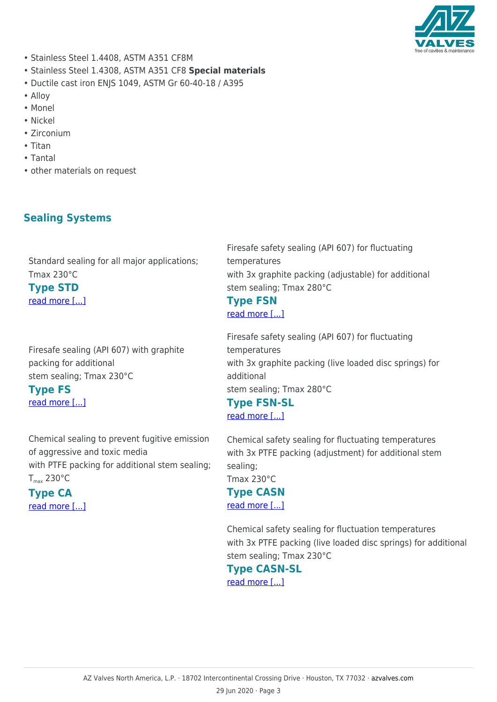

- Stainless Steel 1.4408, ASTM A351 CF8M
- Stainless Steel 1.4308, ASTM A351 CF8 **Special materials**
- Ductile cast iron ENJS 1049, ASTM Gr 60-40-18 / A395
- Alloy
- Monel
- Nickel
- Zirconium
- Titan
- Tantal
- other materials on request

# **Sealing Systems**

Standard sealing for all major applications; Tmax 230°C **Type STD**

[read more \[...\]](https://azvalves.com/wp-content/uploads/2015/05/Sealing-GB-ISO-STD-STD-Standard.png)

Firesafe sealing (API 607) with graphite packing for additional stem sealing; Tmax 230°C **Type FS**

[read more \[...\]](https://azvalves.com/wp-content/uploads/2015/05/Sealing-GB-ISO-STD-FS-Firesafe.png)

Chemical sealing to prevent fugitive emission of aggressive and toxic media with PTFE packing for additional stem sealing;  $T_{\text{max}}$  230 $^{\circ}$ C

### **Type CA** [read more \[...\]](https://azvalves.com/wp-content/uploads/2015/05/Sealing-GB-ISO-STD-CA-Chemistry.png)

Firesafe safety sealing (API 607) for fluctuating temperatures with 3x graphite packing (adjustable) for additional stem sealing; Tmax 280°C

# **Type FSN**

[read more \[...\]](https://azvalves.com/wp-content/uploads/2015/05/Sealing-GB-ISO-STD-FSN-firesafe-adjustment.png)

Firesafe safety sealing (API 607) for fluctuating temperatures with 3x graphite packing (live loaded disc springs) for additional stem sealing; Tmax 280°C

**Type FSN-SL** [read more \[...\]](https://azvalves.com/wp-content/uploads/2015/05/Sealing-GB-ISO-STD-FSN-SL-Firesafe-live-loaded.png)

Chemical safety sealing for fluctuating temperatures with 3x PTFE packing (adjustment) for additional stem sealing;

Tmax 230°C

### **Type CASN**

[read more \[...\]](https://azvalves.com/wp-content/uploads/2015/05/Sealing-GB-ISO-STD-CASN-Chemistry-adjustment.png)

Chemical safety sealing for fluctuation temperatures with 3x PTFE packing (live loaded disc springs) for additional stem sealing; Tmax 230°C

**Type CASN-SL** [read more \[...\]](https://azvalves.com/wp-content/uploads/2015/05/Sealing-GB-ISO-STD-CASN-SL-Chemistry-live-loadet.png)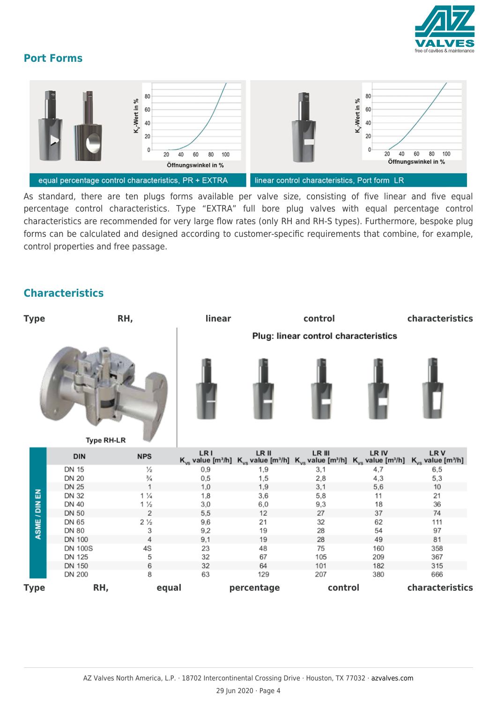

## **Port Forms**



As standard, there are ten plugs forms available per valve size, consisting of five linear and five equal percentage control characteristics. Type "EXTRA" full bore plug valves with equal percentage control characteristics are recommended for very large flow rates (only RH and RH-S types). Furthermore, bespoke plug forms can be calculated and designed according to customer-specific requirements that combine, for example, control properties and free passage.

## **Characteristics**

| RH,<br><b>Type</b> |                              |                    | linear                               | control    |                                                                                                                                                                                          |            | characteristics |  |  |
|--------------------|------------------------------|--------------------|--------------------------------------|------------|------------------------------------------------------------------------------------------------------------------------------------------------------------------------------------------|------------|-----------------|--|--|
|                    |                              |                    | Plug: linear control characteristics |            |                                                                                                                                                                                          |            |                 |  |  |
|                    | Type RH-LR                   |                    |                                      |            |                                                                                                                                                                                          |            |                 |  |  |
|                    | <b>DIN</b>                   | <b>NPS</b>         | LR I                                 | LR II      | LR III<br>$K_{vs}$ value [m <sup>3</sup> /h] $K_{vs}$ value [m <sup>3</sup> /h] $K_{vs}$ value [m <sup>3</sup> /h] $K_{vs}$ value [m <sup>3</sup> /h] $K_{vs}$ value [m <sup>3</sup> /h] | LR IV      | LRV             |  |  |
|                    | <b>DN 15</b><br><b>DN 20</b> | ⅓<br>$\frac{3}{4}$ | $_{0,9}$<br>0,5                      | 1,9<br>1,5 | 3,1<br>2,8                                                                                                                                                                               | 4,7<br>4,3 | 6,5<br>5,3      |  |  |
|                    | <b>DN 25</b>                 | 1                  | 1,0                                  | 1,9        | 3,1                                                                                                                                                                                      | 5,6        | 10              |  |  |
|                    | <b>DN 32</b>                 | $1\frac{1}{4}$     | 1,8                                  | 3,6        | 5,8                                                                                                                                                                                      | 11         | 21              |  |  |
|                    | <b>DN 40</b>                 | $1\frac{1}{2}$     | 3,0                                  | 6,0        | 9,3                                                                                                                                                                                      | 18         | 36              |  |  |
|                    | <b>DN 50</b>                 | 2                  | 5,5                                  | 12         | 27                                                                                                                                                                                       | 37         | 74              |  |  |
| ASME / DIN EN      | DN 65                        | $2\frac{1}{2}$     | 9,6                                  | 21         | 32                                                                                                                                                                                       | 62         | 111             |  |  |
|                    | DN 80                        | 3                  | 9,2                                  | 19         | 28                                                                                                                                                                                       | 54         | 97              |  |  |
|                    | <b>DN 100</b>                | 4                  | 9,1                                  | 19         | 28                                                                                                                                                                                       | 49         | 81              |  |  |
|                    | <b>DN 100S</b><br>DN 125     | 4S<br>5            | 23<br>32                             | 48<br>67   | 75<br>105                                                                                                                                                                                | 160<br>209 | 358<br>367      |  |  |
|                    | <b>DN 150</b>                | 6                  | 32                                   | 64         | 101                                                                                                                                                                                      | 182        | 315             |  |  |
|                    | <b>DN 200</b>                | 8                  | 63                                   | 129        | 207                                                                                                                                                                                      | 380        | 666             |  |  |
| Type               | RH,                          | equal              |                                      | percentage | control                                                                                                                                                                                  |            | characteristics |  |  |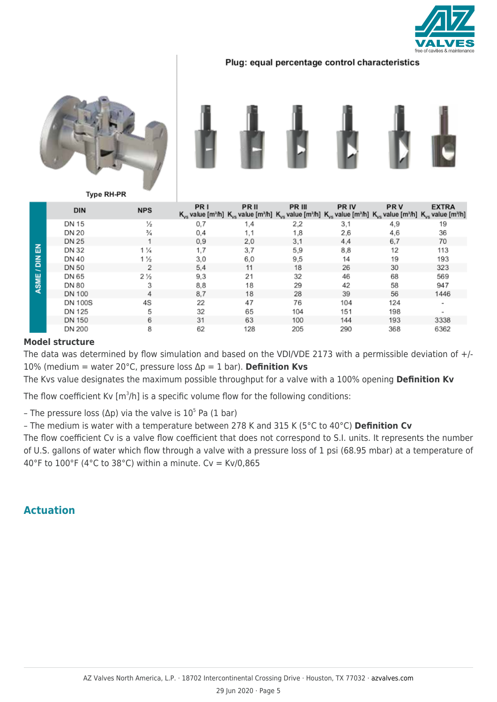

#### Plug: equal percentage control characteristics





**Type RH-PR** 

| る<br>$\frac{z}{\Omega}$<br><b>SME</b><br>⋖ | <b>DIN</b>     | <b>NPS</b>     | PR I | PRII | PR III<br>$K_{\nu s}$ value [m <sup>3</sup> /h] $K_{\nu s}$ value [m <sup>3</sup> /h] $K_{\nu s}$ value [m <sup>3</sup> /h] $K_{\nu s}$ value [m <sup>3</sup> /h] $K_{\nu s}$ value [m <sup>3</sup> /h] $K_{\nu s}$ value [m <sup>3</sup> /h] | <b>PRIV</b> | <b>PRV</b> | <b>EXTRA</b> |
|--------------------------------------------|----------------|----------------|------|------|-----------------------------------------------------------------------------------------------------------------------------------------------------------------------------------------------------------------------------------------------|-------------|------------|--------------|
|                                            | <b>DN 15</b>   | $\frac{1}{2}$  | 0.7  | 1,4  | 2,2                                                                                                                                                                                                                                           | 3,1         | 4,9        | 19           |
|                                            | <b>DN 20</b>   | $\frac{3}{4}$  | 0.4  | 1,1  | 1,8                                                                                                                                                                                                                                           | 2,6         | 4,6        | 36           |
|                                            | <b>DN 25</b>   |                | 0.9  | 2,0  | 3,1                                                                                                                                                                                                                                           | 4,4         | 6,7        | 70           |
|                                            | DN 32          | $1\frac{1}{4}$ | 1.7  | 3,7  | 5,9                                                                                                                                                                                                                                           | 8,8         | 12         | 113          |
|                                            | DN 40          | $1\frac{1}{2}$ | 3,0  | 6,0  | 9,5                                                                                                                                                                                                                                           | 14          | 19         | 193          |
|                                            | <b>DN 50</b>   | 2              | 5.4  | 11   | 18                                                                                                                                                                                                                                            | 26          | 30         | 323          |
|                                            | DN 65          | $2\frac{1}{2}$ | 9.3  | 21   | 32                                                                                                                                                                                                                                            | 46          | 68         | 569          |
|                                            | DN 80          | 3              | 8.8  | 18   | 29                                                                                                                                                                                                                                            | 42          | 58         | 947          |
|                                            | DN 100         | 4              | 8.7  | 18   | 28                                                                                                                                                                                                                                            | 39          | 56         | 1446         |
|                                            | <b>DN 100S</b> | 4S             | 22   | 47   | 76                                                                                                                                                                                                                                            | 104         | 124        | ٠            |
|                                            | DN 125         | 5              | 32   | 65   | 104                                                                                                                                                                                                                                           | 151         | 198        |              |
|                                            | DN 150         | 6              | 31   | 63   | 100                                                                                                                                                                                                                                           | 144         | 193        | 3338         |
|                                            | <b>DN 200</b>  | 8              | 62   | 128  | 205                                                                                                                                                                                                                                           | 290         | 368        | 6362         |

#### **Model structure**

The data was determined by flow simulation and based on the VDI/VDE 2173 with a permissible deviation of +/-10% (medium = water 20°C, pressure loss Δp = 1 bar). **Definition Kvs**

The Kvs value designates the maximum possible throughput for a valve with a 100% opening **Definition Kv**

The flow coefficient Kv [m<sup>3</sup>/h] is a specific volume flow for the following conditions:

- The pressure loss (Δp) via the valve is  $10^5$  Pa (1 bar)

– The medium is water with a temperature between 278 K and 315 K (5°C to 40°C) **Definition Cv**

The flow coefficient Cv is a valve flow coefficient that does not correspond to S.I. units. It represents the number of U.S. gallons of water which flow through a valve with a pressure loss of 1 psi (68.95 mbar) at a temperature of 40°F to 100°F (4°C to 38°C) within a minute. Cv = Kv/0,865

### **Actuation**